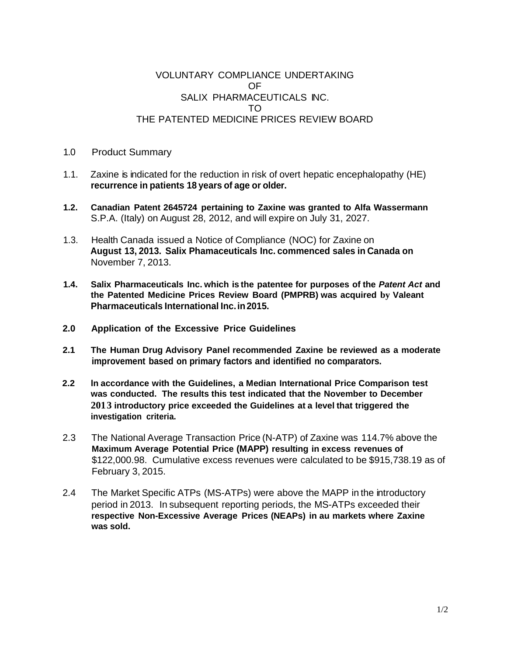## VOLUNTARY COMPLIANCE UNDERTAKING OF SALIX PHARMACEUTICALS INC. TO THE PATENTED MEDICINE PRICES REVIEW BOARD

- 1.0 Product Summary
- 1.1. Zaxine is indicated for the reduction in risk of overt hepatic encephalopathy (HE) **recurrence in patients 18 years of age or older.**
- **1.2. Canadian Patent 2645724 pertaining to Zaxine was granted to Alfa Wassermann** S.P.A. (Italy) on August 28, 2012, and will expire on July 31, 2027.
- 1.3. Health Canada issued a Notice of Compliance (NOC) for Zaxine on **August 13, 2013. Salix Phamaceuticals Inc. commenced sales in Canada on** November 7, 2013.
- **1.4. Salix Pharmaceuticals Inc. which is the patentee for purposes of the** *Patent Act* **and the Patented Medicine Prices Review Board (PMPRB) was acquired by Valeant Pharmaceuticals International Inc.in2015.**
- **2.0 Application of the Excessive Price Guidelines**
- **2.1 The Human Drug Advisory Panel recommended Zaxine be reviewed as a moderate improvement based on primary factors and identified no comparators.**
- **2.2 ln accordance with the Guidelines, a Median International Price Comparison test was conducted. The results this test indicated that the November to December 2013 introductory price exceeded the Guidelines at a level that triggered the investigation criteria.**
- 2.3 The National Average Transaction Price (N-ATP) of Zaxine was 114.7% above the **Maximum Average Potential Price (MAPP) resulting in excess revenues of** \$122,000.98. Cumulative excess revenues were calculated to be \$915,738.19 as of February 3, 2015.
- 2.4 The Market Specific ATPs (MS-ATPs) were above the MAPP in the introductory period in 2013. In subsequent reporting periods, the MS-ATPs exceeded their **respective Non-Excessive Average Prices (NEAPs) in au markets where Zaxine was sold.**